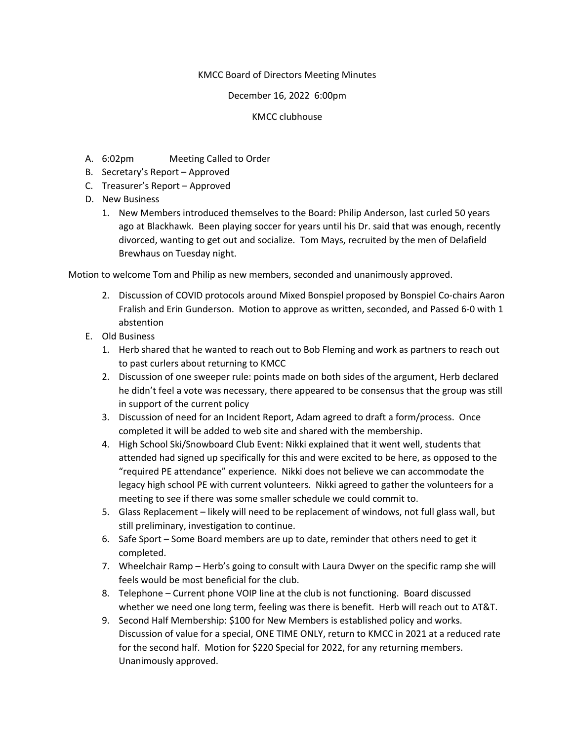## KMCC Board of Directors Meeting Minutes

## December 16, 2022 6:00pm

## KMCC clubhouse

- A. 6:02pm Meeting Called to Order
- B. Secretary's Report Approved
- C. Treasurer's Report Approved
- D. New Business
	- 1. New Members introduced themselves to the Board: Philip Anderson, last curled 50 years ago at Blackhawk. Been playing soccer for years until his Dr. said that was enough, recently divorced, wanting to get out and socialize. Tom Mays, recruited by the men of Delafield Brewhaus on Tuesday night.

Motion to welcome Tom and Philip as new members, seconded and unanimously approved.

- 2. Discussion of COVID protocols around Mixed Bonspiel proposed by Bonspiel Co-chairs Aaron Fralish and Erin Gunderson. Motion to approve as written, seconded, and Passed 6-0 with 1 abstention
- E. Old Business
	- 1. Herb shared that he wanted to reach out to Bob Fleming and work as partners to reach out to past curlers about returning to KMCC
	- 2. Discussion of one sweeper rule: points made on both sides of the argument, Herb declared he didn't feel a vote was necessary, there appeared to be consensus that the group was still in support of the current policy
	- 3. Discussion of need for an Incident Report, Adam agreed to draft a form/process. Once completed it will be added to web site and shared with the membership.
	- 4. High School Ski/Snowboard Club Event: Nikki explained that it went well, students that attended had signed up specifically for this and were excited to be here, as opposed to the "required PE attendance" experience. Nikki does not believe we can accommodate the legacy high school PE with current volunteers. Nikki agreed to gather the volunteers for a meeting to see if there was some smaller schedule we could commit to.
	- 5. Glass Replacement likely will need to be replacement of windows, not full glass wall, but still preliminary, investigation to continue.
	- 6. Safe Sport Some Board members are up to date, reminder that others need to get it completed.
	- 7. Wheelchair Ramp Herb's going to consult with Laura Dwyer on the specific ramp she will feels would be most beneficial for the club.
	- 8. Telephone Current phone VOIP line at the club is not functioning. Board discussed whether we need one long term, feeling was there is benefit. Herb will reach out to AT&T.
	- 9. Second Half Membership: \$100 for New Members is established policy and works. Discussion of value for a special, ONE TIME ONLY, return to KMCC in 2021 at a reduced rate for the second half. Motion for \$220 Special for 2022, for any returning members. Unanimously approved.